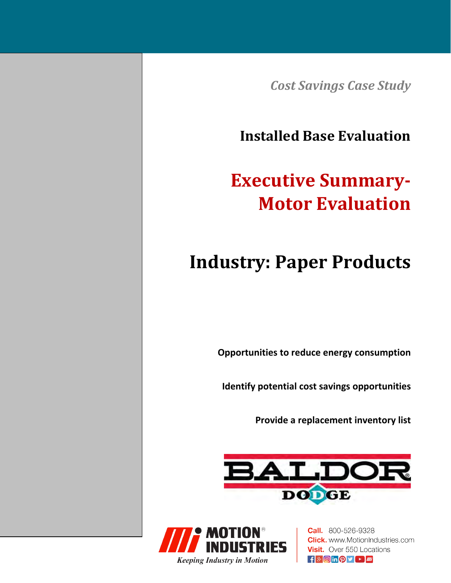*Cost Savings Case Study*

**Installed Base Evaluation**

# **Executive Summary‐ Motor Evaluation**

# **Industry: Paper Products**

**Opportunities to reduce energy consumption**

**Identify potential cost savings opportunities**

**Provide a replacement inventory list**





**Call.** 800-526-9328 **Click.** www.MotionIndustries.com **Visit.** Over 550 Locations  $\mathbf{f}$   $\mathbf{S}$   $\mathbf{I}$   $\mathbf{O}$   $\mathbf{I}$   $\mathbf{I}$   $\mathbf{I}$   $\mathbf{I}$   $\mathbf{I}$   $\mathbf{I}$   $\mathbf{I}$   $\mathbf{I}$   $\mathbf{I}$   $\mathbf{I}$   $\mathbf{I}$   $\mathbf{I}$   $\mathbf{I}$   $\mathbf{I}$   $\mathbf{I}$   $\mathbf{I}$   $\mathbf{I}$   $\mathbf{I}$   $\mathbf{I}$   $\mathbf{I}$   $\mathbf{$